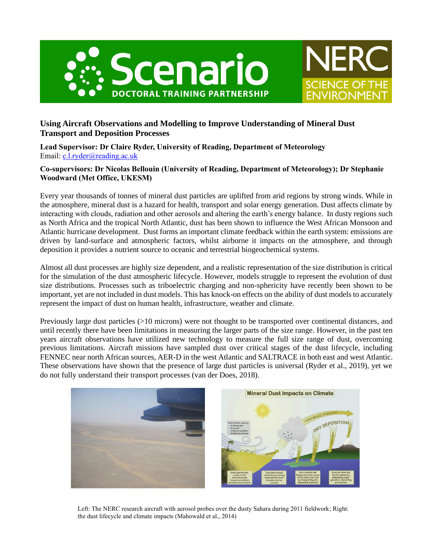



# **Using Aircraft Observations and Modelling to Improve Understanding of Mineral Dust Transport and Deposition Processes**

**Lead Supervisor: Dr Claire Ryder, University of Reading, Department of Meteorology** Email: [c.l.ryder@reading.ac.uk](mailto:c.l.ryder@reading.ac.uk)

## **Co-supervisors: Dr Nicolas Bellouin (University of Reading, Department of Meteorology); Dr Stephanie Woodward (Met Office, UKESM)**

Every year thousands of tonnes of mineral dust particles are uplifted from arid regions by strong winds. While in the atmosphere, mineral dust is a hazard for health, transport and solar energy generation. Dust affects climate by interacting with clouds, radiation and other aerosols and altering the earth's energy balance. In dusty regions such as North Africa and the tropical North Atlantic, dust has been shown to influence the West African Monsoon and Atlantic hurricane development. Dust forms an important climate feedback within the earth system: emissions are driven by land-surface and atmospheric factors, whilst airborne it impacts on the atmosphere, and through deposition it provides a nutrient source to oceanic and terrestrial biogeochemical systems.

Almost all dust processes are highly size dependent, and a realistic representation of the size distribution is critical for the simulation of the dust atmospheric lifecycle. However, models struggle to represent the evolution of dust size distributions. Processes such as triboelectric charging and non-sphericity have recently been shown to be important, yet are not included in dust models. This has knock-on effects on the ability of dust models to accurately represent the impact of dust on human health, infrastructure, weather and climate.

Previously large dust particles (>10 microns) were not thought to be transported over continental distances, and until recently there have been limitations in measuring the larger parts of the size range. However, in the past ten years aircraft observations have utilized new technology to measure the full size range of dust, overcoming previous limitations. Aircraft missions have sampled dust over critical stages of the dust lifecycle, including FENNEC near north African sources, AER-D in the west Atlantic and SALTRACE in both east and west Atlantic. These observations have shown that the presence of large dust particles is universal (Ryder et al., 2019), yet we do not fully understand their transport processes (van der Does, 2018).



Left: The NERC research aircraft with aerosol probes over the dusty Sahara during 2011 fieldwork; Right: the dust lifecycle and climate impacts (Mahowald et al., 2014)